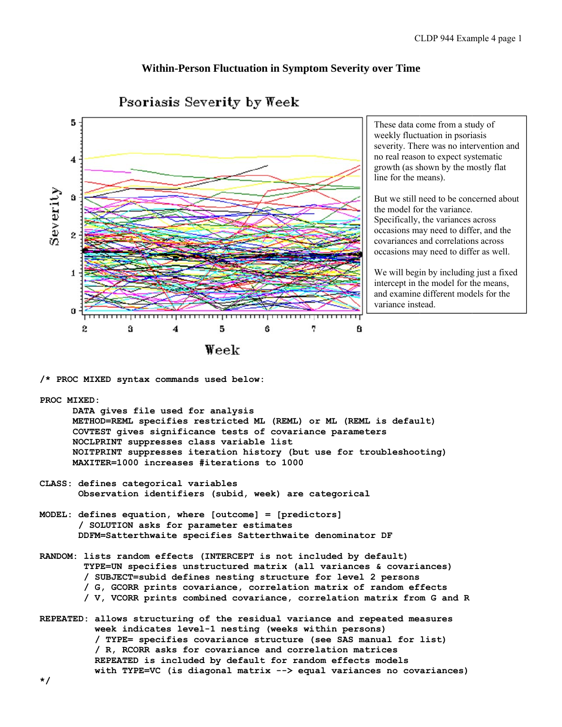# **Within-Person Fluctuation in Symptom Severity over Time**



Psoriasis Severity by Week

These data come from a study of weekly fluctuation in psoriasis severity. There was no intervention and no real reason to expect systematic growth (as sh hown by the m mostly flat line for the means).

But we still n need to be con cerned about the model for the variance. Specifically, the variances across occasions ma ay need to diff fer, and the covariances and correlations across occasions ma ay need to diff fer as well.

We will begin by including just a fixed intercept in the model for the means, and examine different models for the variance instead.

**/\* PROC MIXE ED syntax c commands u used below: :** 

**PRO OC MIXED:** 

**DATA g gives file used for analysis METHOD=REML** specifies restricted ML (REML) or ML (REML is default) **COVTEST** gives significance tests of covariance parameters **NOCLPR RINT suppre esses clas s variable e list NOITPR RINT suppre esses iter ration hist tory (but u use for tr roubleshoo ting) MAXITE ER=1000 inc creases #i terations to 1000** 

- **CLA ASS: defin nes categor rical vari ables**  Observation identifiers (subid, week) are categorical
- **MODEL:** defines equation, where [outcome] = [predictors]  **/ SOL LUTION asks s for para ameter esti imates**  Observation identifiers (subid, week) are categorical<br>
defines equation, where [outcome] = [predictors]<br>
/ SOLUTION asks for parameter estimates<br>
DDFM=Satterthwaite specifies Satterthwaite denominator DF
- **RANDOM:** lists random effects (INTERCEPT is not included by default)  **TYPE E=UN specif fies unstr ructured ma atrix (all variances s & covari ances) / SU UBJECT=subi id defines nesting s structure f for level 2 persons / G, GCORR pri ints covar riance, cor rrelation m matrix of random ef fects / V, VCORR pri ints combi ned covari iance, corr relation m matrix from m G and R**
- **REPEATED: allows structuring of the residual variance and repeated measures** week indicates level-1 nesting (weeks within persons)  **/ TYPE= spec cifies cov variance st tructure (s see SAS ma anual for list) / R, RCORR a asks for c ovariance and correl lation mat trices RE EPEATED is included by default t for rando dom effects s models with TYPE=VC** (is diagonal matrix --> equal variances no covariances)

**\*/**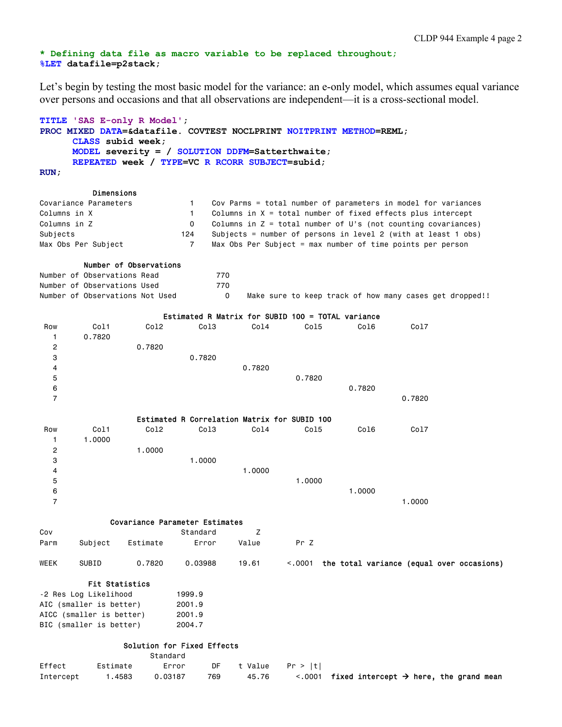# **\* Defining data file as macro variable to be replaced throughout; %LET datafile=p2stack;**

Let's begin by testing the most basic model for the variance: an e-only model, which assumes equal variance over persons and occasions and that all observations are independent—it is a cross-sectional model.

```
TITLE 'SAS E-only R Model'; 
PROC MIXED DATA=&datafile. COVTEST NOCLPRINT NOITPRINT METHOD=REML; 
      CLASS subid week; 
      MODEL severity = / SOLUTION DDFM=Satterthwaite; 
      REPEATED week / TYPE=VC R RCORR SUBJECT=subid; 
RUN;
```
# Dimensions

| Covariance Parameters |     | Cov Parms = total number of parameters in model for variances   |
|-----------------------|-----|-----------------------------------------------------------------|
| Columns in X          |     | Columns in $X = total$ number of fixed effects plus intercept   |
| Columns in Z          |     | Columns in $Z = total$ number of U's (not counting covariances) |
| Subjects              | 124 | Subjects = number of persons in level 2 (with at least 1 obs)   |
| Max Obs Per Subiect   |     | Max Obs Per Subject = max number of time points per person      |

# Number of Observations

|  | Number of Observations Read     | 770 |  |  |  |  |  |                                                         |
|--|---------------------------------|-----|--|--|--|--|--|---------------------------------------------------------|
|  | Number of Observations Used     | 770 |  |  |  |  |  |                                                         |
|  | Number of Observations Not Used |     |  |  |  |  |  | Make sure to keep track of how many cases get dropped!! |

|                         |         |                                |                                              |        | Estimated R Matrix for SUBID 100 = TOTAL variance |        |                                                  |  |
|-------------------------|---------|--------------------------------|----------------------------------------------|--------|---------------------------------------------------|--------|--------------------------------------------------|--|
| Row                     | Col1    | Co12                           | Co13                                         | Co14   | Col5                                              | Col6   | Co17                                             |  |
| 1                       | 0.7820  |                                |                                              |        |                                                   |        |                                                  |  |
| $\overline{\mathbf{c}}$ |         | 0.7820                         |                                              |        |                                                   |        |                                                  |  |
| 3                       |         |                                | 0.7820                                       |        |                                                   |        |                                                  |  |
| 4                       |         |                                |                                              | 0.7820 |                                                   |        |                                                  |  |
| 5                       |         |                                |                                              |        | 0.7820                                            |        |                                                  |  |
| 6                       |         |                                |                                              |        |                                                   | 0.7820 |                                                  |  |
| $\overline{7}$          |         |                                |                                              |        |                                                   |        | 0.7820                                           |  |
|                         |         |                                |                                              |        |                                                   |        |                                                  |  |
|                         |         |                                | Estimated R Correlation Matrix for SUBID 100 |        |                                                   |        |                                                  |  |
| Row                     | Col1    | Co12                           | Co13                                         | Col4   | Col5                                              | Co16   | Col7                                             |  |
| 1                       | 1.0000  |                                |                                              |        |                                                   |        |                                                  |  |
| $\mathbf 2$             |         | 1.0000                         |                                              |        |                                                   |        |                                                  |  |
| 3                       |         |                                | 1.0000                                       |        |                                                   |        |                                                  |  |
| 4                       |         |                                |                                              | 1.0000 |                                                   |        |                                                  |  |
| 5                       |         |                                |                                              |        | 1.0000                                            |        |                                                  |  |
| 6                       |         |                                |                                              |        |                                                   | 1.0000 |                                                  |  |
| $\overline{7}$          |         |                                |                                              |        |                                                   |        | 1.0000                                           |  |
|                         |         |                                |                                              |        |                                                   |        |                                                  |  |
|                         |         | Covariance Parameter Estimates |                                              |        |                                                   |        |                                                  |  |
| Cov                     |         |                                | Standard                                     | Z      |                                                   |        |                                                  |  |
| Parm                    | Subject | Estimate                       | Error                                        | Value  | Pr Z                                              |        |                                                  |  |
| WEEK                    | SUBID   | 0.7820                         | 0.03988                                      | 19.61  |                                                   |        | <.0001 the total variance (equal over occasions) |  |
|                         |         |                                |                                              |        |                                                   |        |                                                  |  |

#### Fit Statistics

| -2 Res Log Likelihood    | 1999.9 |
|--------------------------|--------|
| AIC (smaller is better)  | 2001.9 |
| AICC (smaller is better) | 2001.9 |
| BIC (smaller is better)  | 2004.7 |

#### Solution for Fixed Effects

|           |          | Standard |     |                    |                                                                            |  |
|-----------|----------|----------|-----|--------------------|----------------------------------------------------------------------------|--|
| Effect    | Estimate | Error    |     | DF tValue Pr > Itl |                                                                            |  |
| Intercept | 1.4583   | 0.03187  | 769 | 45.76              | $\langle .0001 \rangle$ fixed intercept $\rightarrow$ here, the grand mean |  |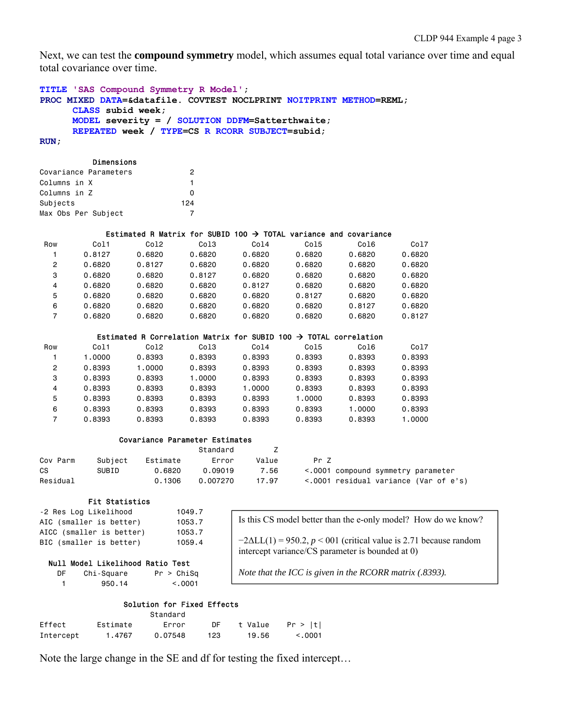Next, we can test the **compound symmetry** model, which assumes equal total variance over time and equal total covariance over time.

```
TITLE 'SAS Compound Symmetry R Model'; 
PROC MIXED DATA=&datafile. COVTEST NOCLPRINT NOITPRINT METHOD=REML; 
      CLASS subid week; 
      MODEL severity = / SOLUTION DDFM=Satterthwaite; 
      REPEATED week / TYPE=CS R RCORR SUBJECT=subid; 
RUN;
```
#### Dimensions

|                     | Covariance Parameters | 2   |
|---------------------|-----------------------|-----|
| Columns in X        |                       | 1.  |
| Columns in Z        |                       | n   |
| Subiects            |                       | 124 |
| Max Obs Per Subject |                       |     |

# Estimated R Matrix for SUBID 100  $\rightarrow$  TOTAL variance and covariance

| Row | Col1   | Co12   | Col <sub>3</sub> | Co14   | Col5   | Co16   | Co17   |
|-----|--------|--------|------------------|--------|--------|--------|--------|
|     | 0.8127 | 0.6820 | 0.6820           | 0.6820 | 0.6820 | 0.6820 | 0.6820 |
| 2   | 0.6820 | 0.8127 | 0.6820           | 0.6820 | 0.6820 | 0.6820 | 0.6820 |
| 3   | 0.6820 | 0.6820 | 0.8127           | 0.6820 | 0.6820 | 0.6820 | 0.6820 |
| 4   | 0.6820 | 0.6820 | 0.6820           | 0.8127 | 0.6820 | 0.6820 | 0.6820 |
| 5   | 0.6820 | 0.6820 | 0.6820           | 0.6820 | 0.8127 | 0.6820 | 0.6820 |
| 6   | 0.6820 | 0.6820 | 0.6820           | 0.6820 | 0.6820 | 0.8127 | 0.6820 |
|     | 0.6820 | 0.6820 | 0.6820           | 0.6820 | 0.6820 | 0.6820 | 0.8127 |

#### Estimated R Correlation Matrix for SUBID 100  $\rightarrow$  TOTAL correlation

| Row | Col1   | Co12   | Co13   | Co14   | Col5   | Col6   | Col7   |
|-----|--------|--------|--------|--------|--------|--------|--------|
|     | 1.0000 | 0.8393 | 0.8393 | 0.8393 | 0.8393 | 0.8393 | 0.8393 |
| 2   | 0.8393 | 1.0000 | 0.8393 | 0.8393 | 0.8393 | 0.8393 | 0.8393 |
| 3   | 0.8393 | 0.8393 | 1.0000 | 0.8393 | 0.8393 | 0.8393 | 0.8393 |
| 4   | 0.8393 | 0.8393 | 0.8393 | 1.0000 | 0.8393 | 0.8393 | 0.8393 |
| 5   | 0.8393 | 0.8393 | 0.8393 | 0.8393 | 1.0000 | 0.8393 | 0.8393 |
| 6   | 0.8393 | 0.8393 | 0.8393 | 0.8393 | 0.8393 | 1.0000 | 0.8393 |
|     | 0.8393 | 0.8393 | 0.8393 | 0.8393 | 0.8393 | 0.8393 | 1.0000 |

# Covariance Parameter Estimates

|          |         |          | Standard |       |                                       |
|----------|---------|----------|----------|-------|---------------------------------------|
| Cov Parm | Subject | Estimate | Error    | Value | Pr 7                                  |
| CS.      | SUBID   | 0.6820   | 0.09019  | 7.56  | <.0001 compound symmetry parameter    |
| Residual |         | 0.1306   | 0.007270 | 17.97 | <.0001 residual variance (Var of e's) |

#### Fit Statistics

| -2 Res Log Likelihood    | 1049.7 |
|--------------------------|--------|
| AIC (smaller is better)  | 1053.7 |
| AICC (smaller is better) | 1053.7 |
| BIC (smaller is better)  | 1059.4 |
|                          |        |

Is this CS model better than the e-only model? How do we know?  $-2\Delta LL(1) = 950.2$ ,  $p < 001$  (critical value is 2.71 because random

#### Null Model Likelihood Ratio Test

| DF | Chi-Square | Pr > Chisq |
|----|------------|------------|
|    | 950.14     | < 0.001    |

*Note that the ICC is given in the RCORR matrix (.8393).* 

intercept variance/CS parameter is bounded at 0)

# Solution for Fixed Effects

|           |          | Standard |     |         |         |
|-----------|----------|----------|-----|---------|---------|
| Effect    | Estimate | Error    | DE  | t Value | Pr >  t |
| Intercept | 1.4767   | 0.07548  | 123 | 19.56   | < 0.001 |

Note the large change in the SE and df for testing the fixed intercept…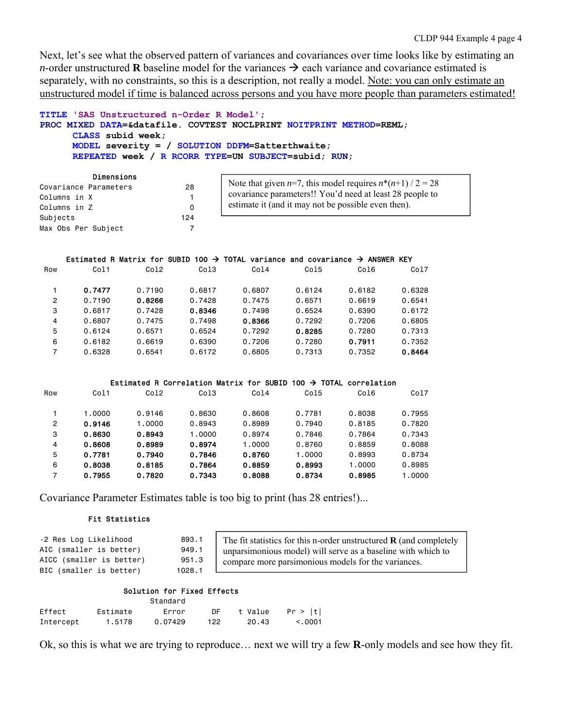Next, let's see what the observed pattern of variances and covariances over time looks like by estimating an *n*-order unstructured **R** baseline model for the variances  $\rightarrow$  each variance and covariance estimated is separately, with no constraints, so this is a description, not really a model. Note: you can only estimate an unstructured model if time is balanced across persons and you have more people than parameters estimated!

```
TITLE 'SAS Unstructured n-Order R Model'; 
PROC MIXED DATA=&datafile. COVTEST NOCLPRINT NOITPRINT METHOD=REML; 
      CLASS subid week; 
     MODEL severity = / SOLUTION DDFM=Satterthwaite; 
      REPEATED week / R RCORR TYPE=UN SUBJECT=subid; RUN;
```

|                     | <b>U IMGHS LUNS</b>   |     |
|---------------------|-----------------------|-----|
|                     | Covariance Parameters | 28  |
| Columns in X        |                       | 1.  |
| Columns in Z        |                       | ŋ   |
| Subjects            |                       | 124 |
| Max Obs Per Subject |                       |     |

Dimensions

Note that given  $n=7$ , this model requires  $n^*(n+1)$  / 2 = 28 covariance parameters!! You'd need at least 28 people to estimate it (and it may not be possible even then).

#### Estimated R Matrix for SUBID 100  $\rightarrow$  TOTAL variance and covariance  $\rightarrow$  ANSWER KEY

| Col1   | Co12   | Col <sub>3</sub> | Co14   | Col5   | Col6   | Col7   |
|--------|--------|------------------|--------|--------|--------|--------|
|        |        |                  |        |        |        |        |
| 0.7477 | 0.7190 | 0.6817           | 0.6807 | 0.6124 | 0.6182 | 0.6328 |
| 0.7190 | 0.8266 | 0.7428           | 0.7475 | 0.6571 | 0.6619 | 0.6541 |
| 0.6817 | 0.7428 | 0.8346           | 0.7498 | 0.6524 | 0.6390 | 0.6172 |
| 0.6807 | 0.7475 | 0.7498           | 0.8366 | 0.7292 | 0.7206 | 0.6805 |
| 0.6124 | 0.6571 | 0.6524           | 0.7292 | 0.8285 | 0.7280 | 0.7313 |
| 0.6182 | 0.6619 | 0.6390           | 0.7206 | 0.7280 | 0.7911 | 0.7352 |
| 0.6328 | 0.6541 | 0.6172           | 0.6805 | 0.7313 | 0.7352 | 0.8464 |
|        |        |                  |        |        |        |        |

#### Estimated R Correlation Matrix for SUBID 100  $\rightarrow$  TOTAL correlation

| Row | Co11   | Co12   | Co13   | Co14   | Co15   | Co16   | Co17   |
|-----|--------|--------|--------|--------|--------|--------|--------|
|     |        |        |        |        |        |        |        |
|     | 1.0000 | 0.9146 | 0.8630 | 0.8608 | 0.7781 | 0.8038 | 0.7955 |
| 2   | 0.9146 | 1.0000 | 0.8943 | 0.8989 | 0.7940 | 0.8185 | 0.7820 |
| 3   | 0.8630 | 0.8943 | 1.0000 | 0.8974 | 0.7846 | 0.7864 | 0.7343 |
| 4   | 0.8608 | 0.8989 | 0.8974 | 1.0000 | 0.8760 | 0.8859 | 0.8088 |
| 5   | 0.7781 | 0.7940 | 0.7846 | 0.8760 | 1.0000 | 0.8993 | 0.8734 |
| 6   | 0.8038 | 0.8185 | 0.7864 | 0.8859 | 0.8993 | 1.0000 | 0.8985 |
| 7   | 0.7955 | 0.7820 | 0.7343 | 0.8088 | 0.8734 | 0.8985 | 1,0000 |

Covariance Parameter Estimates table is too big to print (has 28 entries!)...

# Fit Statistics

-2 Res Log Likelihood 893.1 AIC (smaller is better) 949.1 AICC (smaller is better) 951.3 BIC (smaller is better) 1028.1

The fit statistics for this n-order unstructured **R** (and completely unparsimonious model) will serve as a baseline with which to compare more parsimonious models for the variances.

# Solution for Fixed Effects

|           |          | Standard |     |         |         |
|-----------|----------|----------|-----|---------|---------|
| Effect    | Estimate | Frror    | DE. | t Value | Pr >  t |
| Intercept | 1.5178   | 0.07429  | 122 | 20.43   | < 0.001 |

Ok, so this is what we are trying to reproduce… next we will try a few **R**-only models and see how they fit.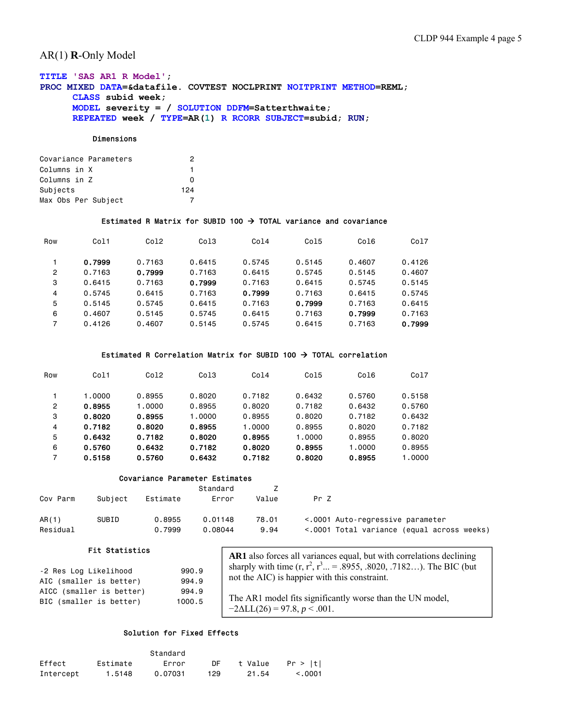# AR(1) **R**-Only Model

# **TITLE 'SAS AR1 R Model'; PROC MIXED DATA=&datafile. COVTEST NOCLPRINT NOITPRINT METHOD=REML; CLASS subid week; MODEL severity = / SOLUTION DDFM=Satterthwaite; REPEATED week / TYPE=AR(1) R RCORR SUBJECT=subid; RUN;**

### Dimensions

| Covariance Parameters | 2   |
|-----------------------|-----|
| Columns in X          | 1   |
| Columns in Z          | O   |
| Subjects              | 124 |
| Max Obs Per Subject   |     |

# Estimated R Matrix for SUBID 100  $\rightarrow$  TOTAL variance and covariance

| Row            | Col1   | Co12   | Col3   | Co14   | Co15   | Col6   | Col7   |
|----------------|--------|--------|--------|--------|--------|--------|--------|
|                |        |        |        |        |        |        |        |
|                | 0.7999 | 0.7163 | 0.6415 | 0.5745 | 0.5145 | 0.4607 | 0.4126 |
| $\overline{2}$ | 0.7163 | 0.7999 | 0.7163 | 0.6415 | 0.5745 | 0.5145 | 0.4607 |
| 3              | 0.6415 | 0.7163 | 0.7999 | 0.7163 | 0.6415 | 0.5745 | 0.5145 |
| 4              | 0.5745 | 0.6415 | 0.7163 | 0.7999 | 0.7163 | 0.6415 | 0.5745 |
| 5              | 0.5145 | 0.5745 | 0.6415 | 0.7163 | 0.7999 | 0.7163 | 0.6415 |
| 6              | 0.4607 | 0.5145 | 0.5745 | 0.6415 | 0.7163 | 0.7999 | 0.7163 |
| 7              | 0.4126 | 0.4607 | 0.5145 | 0.5745 | 0.6415 | 0.7163 | 0.7999 |

# Estimated R Correlation Matrix for SUBID 100  $\rightarrow$  TOTAL correlation

| Row | Col1   | Co12   | Co13   | Co14   | Co15   | Co16   | Col7   |
|-----|--------|--------|--------|--------|--------|--------|--------|
|     |        |        |        |        |        |        |        |
|     | 1.0000 | 0.8955 | 0.8020 | 0.7182 | 0.6432 | 0.5760 | 0.5158 |
| 2   | 0.8955 | 1.0000 | 0.8955 | 0.8020 | 0.7182 | 0.6432 | 0.5760 |
| 3   | 0.8020 | 0.8955 | 1.0000 | 0.8955 | 0.8020 | 0.7182 | 0.6432 |
| 4   | 0.7182 | 0.8020 | 0.8955 | 1.0000 | 0.8955 | 0.8020 | 0.7182 |
| 5   | 0.6432 | 0.7182 | 0.8020 | 0.8955 | 1,0000 | 0.8955 | 0.8020 |
| 6   | 0.5760 | 0.6432 | 0.7182 | 0.8020 | 0.8955 | 1.0000 | 0.8955 |
| 7   | 0.5158 | 0.5760 | 0.6432 | 0.7182 | 0.8020 | 0.8955 | 1.0000 |

# Covariance Parameter Estimates

| Cov Parm | Subject | Estimate | Standard<br>Error | Value | Pr Z                                       |
|----------|---------|----------|-------------------|-------|--------------------------------------------|
| AR(1)    | SUBID   | 0.8955   | 0.01148           | 78.01 | <.0001 Auto-regressive parameter           |
| Residual |         | 0.7999   | 0.08044           | 9.94  | <.0001 Total variance (equal across weeks) |

### Fit Statistics

| -2 Res Log Likelihood    | 990.9  |
|--------------------------|--------|
| AIC (smaller is better)  | 994.9  |
| AICC (smaller is better) | 994.9  |
| BIC (smaller is better)  | 1000.5 |

**AR1** also forces all variances equal, but with correlations declining sharply with time  $(r, r^2, r^3, ... = .8955, .8020, .7182...)$ . The BIC (but not the AIC) is happier with this constraint.

The AR1 model fits significantly worse than the UN model,  $-2\Delta L L(26) = 97.8, p < .001.$ 

# Solution for Fixed Effects

|           |          | Standard |           |         |         |
|-----------|----------|----------|-----------|---------|---------|
| Effect    | Estimate | Error    | <b>DE</b> | t Value | Pr >  t |
| Intercept | 1.5148   | 0.07031  | 129       | 21.54   | < 0.001 |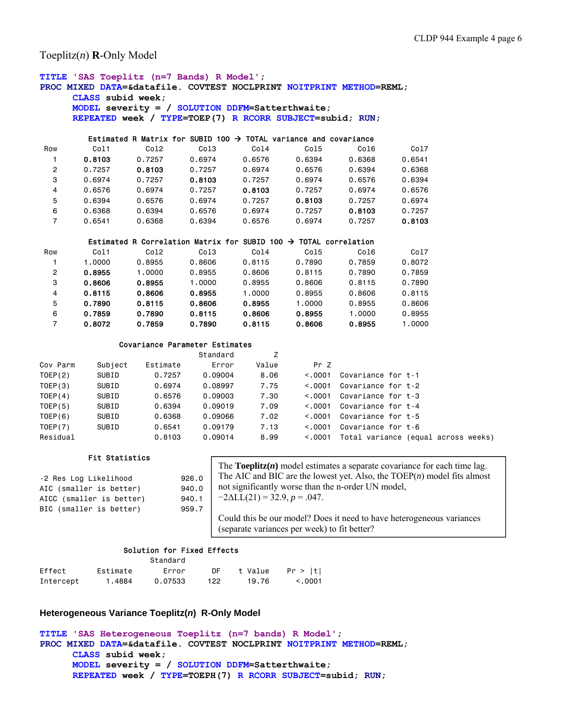Toeplitz(*n*) **R**-Only Model

```
TITLE 'SAS Toeplitz (n=7 Bands) R Model'; 
PROC MIXED DATA=&datafile. COVTEST NOCLPRINT NOITPRINT METHOD=REML; 
     CLASS subid week; 
     MODEL severity = / SOLUTION DDFM=Satterthwaite; 
     REPEATED week / TYPE=TOEP(7) R RCORR SUBJECT=subid; RUN; 
       Estimated R Matrix for SUBID 100 \rightarrow TOTAL variance and covariance
 Row Col1 Col2 Col3 Col4 Col5 Col6 Col7 
 1 0.8103 0.7257 0.6974 0.6576 0.6394 0.6368 0.6541 
 2 0.7257 0.8103 0.7257 0.6974 0.6576 0.6394 0.6368 
 3 0.6974 0.7257 0.8103 0.7257 0.6974 0.6576 0.6394 
 4 0.6576 0.6974 0.7257 0.8103 0.7257 0.6974 0.6576 
 5 0.6394 0.6576 0.6974 0.7257 0.8103 0.7257 0.6974 
 6 0.6368 0.6394 0.6576 0.6974 0.7257 0.8103 0.7257 
 7 0.6541 0.6368 0.6394 0.6576 0.6974 0.7257 0.8103 
       Estimated R Correlation Matrix for SUBID 100 \rightarrow TOTAL correlation
 Row Col1 Col2 Col3 Col4 Col5 Col6 Col7 
 1 1.0000 0.8955 0.8606 0.8115 0.7890 0.7859 0.8072 
 2 0.8955 1.0000 0.8955 0.8606 0.8115 0.7890 0.7859 
 3 0.8606 0.8955 1.0000 0.8955 0.8606 0.8115 0.7890 
 4 0.8115 0.8606 0.8955 1.0000 0.8955 0.8606 0.8115 
 5 0.7890 0.8115 0.8606 0.8955 1.0000 0.8955 0.8606 
 6 0.7859 0.7890 0.8115 0.8606 0.8955 1.0000 0.8955 
 7 0.8072 0.7859 0.7890 0.8115 0.8606 0.8955 1.0000 
             Covariance Parameter Estimates 
extended the Standard Standard Standard Z
Cov Parm Subject Estimate Error Value Pr Z 
TOEP(2) SUBID 0.7257 0.09004 8.06 <.0001 Covariance for t-1 
TOEP(3) SUBID 0.6974 0.08997 7.75 <.0001 Covariance for t-2 
        SUBID 0.6576 0.09003 7.30 <.0001 Covariance for t-3
TOEP(5) SUBID 0.6394 0.09019 7.09 <.0001 Covariance for t-4 
TOEP(6) SUBID 0.6368 0.09066 7.02 <.0001 Covariance for t-5 
TOEP(7) SUBID 0.6541 0.09179 7.13 <.0001 Covariance for t-6 
Residual 0.8103 0.09014 8.99 <.0001 Total variance (equal across weeks) 
        Fit Statistics 
-2 Res Log Likelihood 926.0 
                            The Toeplitz(n) model estimates a separate covariance for each time lag.
```
AIC (smaller is better) 940.0 AICC (smaller is better) 940.1 BIC (smaller is better) 959.7

The AIC and BIC are the lowest yet. Also, the TOEP(*n*) model fits almost not significantly worse than the n-order UN model,  $-2\Delta L L(21) = 32.9, p = .047.$ Could this be our model? Does it need to have heterogeneous variances (separate variances per week) to fit better?

# Solution for Fixed Effects

|           |          | Standard |     |         |         |
|-----------|----------|----------|-----|---------|---------|
| Effect    | Estimate | Frror    | DΕ  | t Value | Pr >  t |
| Intercept | 1.4884   | 0.07533  | 122 | 19.76   | < 0.001 |

# **Heterogeneous Variance Toeplitz(***n***) R-Only Model**

```
TITLE 'SAS Heterogeneous Toeplitz (n=7 bands) R Model'; 
PROC MIXED DATA=&datafile. COVTEST NOCLPRINT NOITPRINT METHOD=REML; 
      CLASS subid week; 
      MODEL severity = / SOLUTION DDFM=Satterthwaite; 
      REPEATED week / TYPE=TOEPH(7) R RCORR SUBJECT=subid; RUN;
```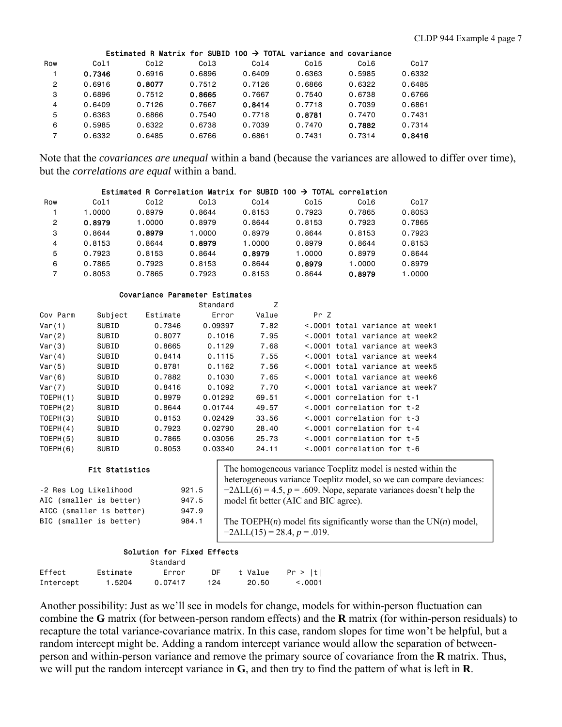|                |        |        |                  |        |        | Estimated R Matrix for SUBID 100 $\rightarrow$ TOTAL variance and covariance |        |
|----------------|--------|--------|------------------|--------|--------|------------------------------------------------------------------------------|--------|
| Row            | Col1   | Col2   | Col <sub>3</sub> | Col4   | Col5   | Col6                                                                         | Col7   |
|                | 0.7346 | 0.6916 | 0.6896           | 0.6409 | 0.6363 | 0.5985                                                                       | 0.6332 |
| $\overline{2}$ | 0.6916 | 0.8077 | 0.7512           | 0.7126 | 0.6866 | 0.6322                                                                       | 0.6485 |
| 3              | 0.6896 | 0.7512 | 0.8665           | 0.7667 | 0.7540 | 0.6738                                                                       | 0.6766 |
| 4              | 0.6409 | 0.7126 | 0.7667           | 0.8414 | 0.7718 | 0.7039                                                                       | 0.6861 |
| 5              | 0.6363 | 0.6866 | 0.7540           | 0.7718 | 0.8781 | 0.7470                                                                       | 0.7431 |
| 6              | 0.5985 | 0.6322 | 0.6738           | 0.7039 | 0.7470 | 0.7882                                                                       | 0.7314 |
| 7              | 0.6332 | 0.6485 | 0.6766           | 0.6861 | 0.7431 | 0.7314                                                                       | 0.8416 |

Note that the *covariances are unequal* within a band (because the variances are allowed to differ over time), but the *correlations are equal* within a band.

# Estimated R Correlation Matrix for SUBID 100  $\rightarrow$  TOTAL correlation

| Row | Col1   | Col2   | Col <sub>3</sub> | Co14   | Col5   | Co16   | Co17   |
|-----|--------|--------|------------------|--------|--------|--------|--------|
|     | 1.0000 | 0.8979 | 0.8644           | 0.8153 | 0.7923 | 0.7865 | 0.8053 |
| 2   | 0.8979 | 1.0000 | 0.8979           | 0.8644 | 0.8153 | 0.7923 | 0.7865 |
| 3   | 0.8644 | 0.8979 | 1,0000           | 0.8979 | 0.8644 | 0.8153 | 0.7923 |
| 4   | 0.8153 | 0.8644 | 0.8979           | 1.0000 | 0.8979 | 0.8644 | 0.8153 |
| 5   | 0.7923 | 0.8153 | 0.8644           | 0.8979 | 1.0000 | 0.8979 | 0.8644 |
| 6   | 0.7865 | 0.7923 | 0.8153           | 0.8644 | 0.8979 | 1.0000 | 0.8979 |
|     | 0.8053 | 0.7865 | 0.7923           | 0.8153 | 0.8644 | 0.8979 | .0000  |

#### Covariance Parameter Estimates

|          |         |          | Standard | z     |                                  |
|----------|---------|----------|----------|-------|----------------------------------|
| Cov Parm | Subject | Estimate | Error    | Value | Pr Z                             |
| Var(1)   | SUBID   | 0.7346   | 0.09397  | 7.82  | <.0001 total variance at week1   |
| Var(2)   | SUBID   | 0.8077   | 0.1016   | 7.95  | <.0001 total variance at week2   |
| Var(3)   | SUBID   | 0.8665   | 0.1129   | 7.68  | <.0001 total variance at week3   |
| Var(4)   | SUBID   | 0.8414   | 0.1115   | 7.55  | <.0001 total variance at week4   |
| Var(5)   | SUBID   | 0.8781   | 0.1162   | 7.56  | <.0001 total variance at week5   |
| Var(6)   | SUBID   | 0.7882   | 0.1030   | 7.65  | <.0001 total variance at week6   |
| Var(7)   | SUBID   | 0.8416   | 0.1092   | 7.70  | <.0001 total variance at week7   |
| TOEPH(1) | SUBID   | 0.8979   | 0.01292  | 69.51 | $\leq$ .0001 correlation for t-1 |
| TOEPH(2) | SUBID   | 0.8644   | 0.01744  | 49.57 | $\leq$ .0001 correlation for t-2 |
| TOEPH(3) | SUBID   | 0.8153   | 0.02429  | 33.56 | $\leq$ .0001 correlation for t-3 |
| TOEPH(4) | SUBID   | 0.7923   | 0.02790  | 28.40 | $\leq$ .0001 correlation for t-4 |
| TOEPH(5) | SUBID   | 0.7865   | 0.03056  | 25.73 | $\leq$ .0001 correlation for t-5 |
| TOEPH(6) | SUBID   | 0.8053   | 0.03340  | 24.11 | $\leq$ .0001 correlation for t-6 |

### Fit Statistics

| -2 Res Log Likelihood    | 921.5 |
|--------------------------|-------|
| AIC (smaller is better)  | 947.5 |
| AICC (smaller is better) | 947.9 |
| BIC (smaller is better)  | 984.1 |

The homogeneous variance Toeplitz model is nested within the heterogeneous variance Toeplitz model, so we can compare deviances:  $-2\Delta LL(6) = 4.5$ ,  $p = .609$ . Nope, separate variances doesn't help the model fit better (AIC and BIC agree).

The TOEPH $(n)$  model fits significantly worse than the UN $(n)$  model,  $-2\Delta L L(15) = 28.4, p = .019.$ 

# Solution for Fixed Effects

|           |          | Standard |     |         |         |
|-----------|----------|----------|-----|---------|---------|
| Effect    | Estimate | Error    | DE  | t Value | Pr >  t |
| Intercept | 1.5204   | 0.07417  | 124 | 20.50   | < 0.001 |

Another possibility: Just as we'll see in models for change, models for within-person fluctuation can combine the **G** matrix (for between-person random effects) and the **R** matrix (for within-person residuals) to recapture the total variance-covariance matrix. In this case, random slopes for time won't be helpful, but a random intercept might be. Adding a random intercept variance would allow the separation of betweenperson and within-person variance and remove the primary source of covariance from the **R** matrix. Thus, we will put the random intercept variance in **G**, and then try to find the pattern of what is left in **R**.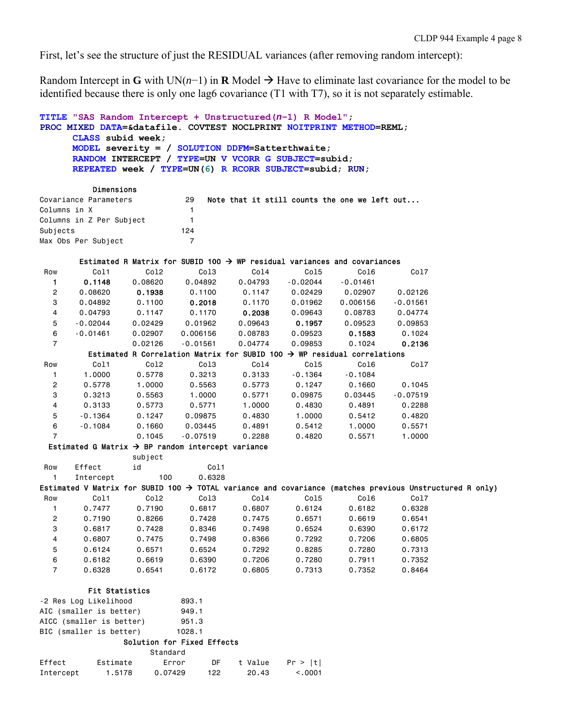First, let's see the structure of just the RESIDUAL variances (after removing random intercept):

Random Intercept in **G** with UN( $n-1$ ) in **R** Model → Have to eliminate last covariance for the model to be identified because there is only one lag6 covariance (T1 with T7), so it is not separately estimable.

```
TITLE "SAS Random Intercept + Unstructured(n−1) R Model"; 
PROC MIXED DATA=&datafile. COVTEST NOCLPRINT NOITPRINT METHOD=REML; 
     CLASS subid week; 
     MODEL severity = / SOLUTION DDFM=Satterthwaite; 
     RANDOM INTERCEPT / TYPE=UN V VCORR G SUBJECT=subid; 
     REPEATED week / TYPE=UN(6) R RCORR SUBJECT=subid; RUN; 
         Dimensions 
Covariance Parameters 29 Note that it still counts the one we left out...
Columns in X 1
Columns in Z Per Subject 1
Subjects 124 
Max Obs Per Subject 7
      Estimated R Matrix for SUBID 100 \rightarrow WP residual variances and covariances
 Row Col1 Col2 Col3 Col4 Col5 Col6 Col7 
 1 0.1148 0.08620 0.04892 0.04793 -0.02044 -0.01461 
   2 0.08620 0.1938 0.1100 0.1147 0.02429 0.02907 0.02126 
   3 0.04892 0.1100 0.2018 0.1170 0.01962 0.006156 -0.01561 
 4 0.04793 0.1147 0.1170 0.2038 0.09643 0.08783 0.04774 
 5 -0.02044 0.02429 0.01962 0.09643 0.1957 0.09523 0.09853 
 6 -0.01461 0.02907 0.006156 0.08783 0.09523 0.1583 0.1024 
 7 0.02126 -0.01561 0.04774 0.09853 0.1024 0.2136
       Estimated R Correlation Matrix for SUBID 100 \rightarrow WP residual correlations
 Row Col1 Col2 Col3 Col4 Col5 Col6 Col7 
 1 1.0000 0.5778 0.3213 0.3133 -0.1364 -0.1084 
 2 0.5778 1.0000 0.5563 0.5773 0.1247 0.1660 0.1045 
 3 0.3213 0.5563 1.0000 0.5771 0.09875 0.03445 -0.07519 
 4 0.3133 0.5773 0.5771 1.0000 0.4830 0.4891 0.2288 
 5 -0.1364 0.1247 0.09875 0.4830 1.0000 0.5412 0.4820 
 6 -0.1084 0.1660 0.03445 0.4891 0.5412 1.0000 0.5571 
 7 0.1045 -0.07519 0.2288 0.4820 0.5571 1.0000 
 Estimated G Matrix \rightarrow BP random intercept variance
               subject 
Row Effect id Col1
   1 Intercept 100 0.6328 
Estimated V Matrix for SUBID 100 \rightarrow TOTAL variance and covariance (matches previous Unstructured R only)
 Row Col1 Col2 Col3 Col4 Col5 Col6 Col7 
 1 0.7477 0.7190 0.6817 0.6807 0.6124 0.6182 0.6328 
 2 0.7190 0.8266 0.7428 0.7475 0.6571 0.6619 0.6541 
 3 0.6817 0.7428 0.8346 0.7498 0.6524 0.6390 0.6172 
 4 0.6807 0.7475 0.7498 0.8366 0.7292 0.7206 0.6805 
 5 0.6124 0.6571 0.6524 0.7292 0.8285 0.7280 0.7313 
 6 0.6182 0.6619 0.6390 0.7206 0.7280 0.7911 0.7352 
 7 0.6328 0.6541 0.6172 0.6805 0.7313 0.7352 0.8464 
        Fit Statistics 
-2 Res Log Likelihood 893.1
AIC (smaller is better) 949.1
AICC (smaller is better) 951.3 
BIC (smaller is better) 1028.1 
              Solution for Fixed Effects 
                  Standard 
Effect Estimate Error DF t Value Pr > |t| 
Intercept 1.5178 0.07429 122 20.43 <.0001
```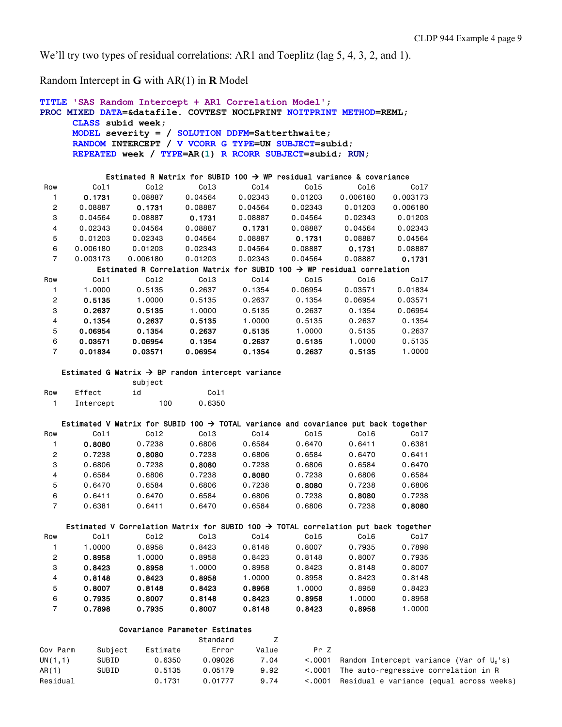We'll try two types of residual correlations: AR1 and Toeplitz (lag 5, 4, 3, 2, and 1).

Random Intercept in **G** with AR(1) in **R** Model

```
TITLE 'SAS Random Intercept + AR1 Correlation Model'; 
PROC MIXED DATA=&datafile. COVTEST NOCLPRINT NOITPRINT METHOD=REML; 
     CLASS subid week; 
     MODEL severity = / SOLUTION DDFM=Satterthwaite; 
     RANDOM INTERCEPT / V VCORR G TYPE=UN SUBJECT=subid; 
     REPEATED week / TYPE=AR(1) R RCORR SUBJECT=subid; RUN; 
          Estimated R Matrix for SUBID 100 \rightarrow WP residual variance & covariance
 Row Col1 Col2 Col3 Col4 Col5 Col6 Col7 
 1 0.1731 0.08887 0.04564 0.02343 0.01203 0.006180 0.003173 
 2 0.08887 0.1731 0.08887 0.04564 0.02343 0.01203 0.006180 
 3 0.04564 0.08887 0.1731 0.08887 0.04564 0.02343 0.01203 
 4 0.02343 0.04564 0.08887 0.1731 0.08887 0.04564 0.02343 
 5 0.01203 0.02343 0.04564 0.08887 0.1731 0.08887 0.04564 
 6 0.006180 0.01203 0.02343 0.04564 0.08887 0.1731 0.08887 
 7 0.003173 0.006180 0.01203 0.02343 0.04564 0.08887 0.1731
        Estimated R Correlation Matrix for SUBID 100 \rightarrow WP residual correlation
 Row Col1 Col2 Col3 Col4 Col5 Col6 Col7 
 1 1.0000 0.5135 0.2637 0.1354 0.06954 0.03571 0.01834 
 2 0.5135 1.0000 0.5135 0.2637 0.1354 0.06954 0.03571 
 3 0.2637 0.5135 1.0000 0.5135 0.2637 0.1354 0.06954 
 4 0.1354 0.2637 0.5135 1.0000 0.5135 0.2637 0.1354 
 5 0.06954 0.1354 0.2637 0.5135 1.0000 0.5135 0.2637 
 6 0.03571 0.06954 0.1354 0.2637 0.5135 1.0000 0.5135 
 7 0.01834 0.03571 0.06954 0.1354 0.2637 0.5135 1.0000 
   Estimated G Matrix \rightarrow BP random intercept variance
               subject 
Row Effect id Col1
   1 Intercept 100 0.6350 
   Estimated V Matrix for SUBID 100 \rightarrow TOTAL variance and covariance put back together
 Row Col1 Col2 Col3 Col4 Col5 Col6 Col7 
 1 0.8080 0.7238 0.6806 0.6584 0.6470 0.6411 0.6381 
 2 0.7238 0.8080 0.7238 0.6806 0.6584 0.6470 0.6411 
 3 0.6806 0.7238 0.8080 0.7238 0.6806 0.6584 0.6470 
 4 0.6584 0.6806 0.7238 0.8080 0.7238 0.6806 0.6584 
 5 0.6470 0.6584 0.6806 0.7238 0.8080 0.7238 0.6806 
 6 0.6411 0.6470 0.6584 0.6806 0.7238 0.8080 0.7238 
 7 0.6381 0.6411 0.6470 0.6584 0.6806 0.7238 0.8080
    Estimated V Correlation Matrix for SUBID 100 \rightarrow TOTAL correlation put back together
 Row Col1 Col2 Col3 Col4 Col5 Col6 Col7 
 1 1.0000 0.8958 0.8423 0.8148 0.8007 0.7935 0.7898 
 2 0.8958 1.0000 0.8958 0.8423 0.8148 0.8007 0.7935 
 3 0.8423 0.8958 1.0000 0.8958 0.8423 0.8148 0.8007 
 4 0.8148 0.8423 0.8958 1.0000 0.8958 0.8423 0.8148 
 5 0.8007 0.8148 0.8423 0.8958 1.0000 0.8958 0.8423 
 6 0.7935 0.8007 0.8148 0.8423 0.8958 1.0000 0.8958 
 7 0.7898 0.7935 0.8007 0.8148 0.8423 0.8958 1.0000 
             Covariance Parameter Estimates 
example and the standard control of \mathsf ZCov Parm Subject Estimate Error Value Pr Z 
UN(1,1) SUBID 0.6350 0.09026 7.04 <.0001 Random Intercept variance (Var of U<sub>0</sub>'s)
AR(1) SUBID 0.5135 0.05179 9.92 <.0001 The auto-regressive correlation in R
```
Residual 6.1731 0.01777 9.74 <.0001 Residual e variance (equal across weeks)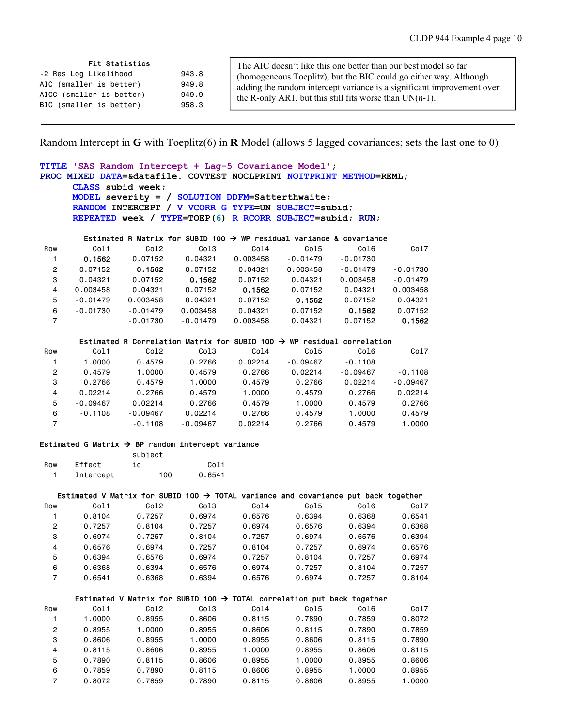#### Fit Statistics

|                          |       | $1.001110$ about $1.001$                |
|--------------------------|-------|-----------------------------------------|
| -2 Res Log Likelihood    | 943.8 | (homogeneous Toe                        |
| AIC (smaller is better)  | 949.8 |                                         |
| AICC (smaller is better) | 949.9 | adding the random<br>the R-only AR1, bu |
| BIC (smaller is better)  | 958.3 |                                         |

The AIC doesn't like this one better than our best model so far plitz), but the BIC could go either way. Although intercept variance is a significant improvement over the R-only at this still fits worse than  $UN(n-1)$ .

Random Intercept in **G** with Toeplitz(6) in **R** Model (allows 5 lagged covariances; sets the last one to 0)

```
TITLE 'SAS Random Intercept + Lag-5 Covariance Model'; 
PROC MIXED DATA=&datafile. COVTEST NOCLPRINT NOITPRINT METHOD=REML; 
     CLASS subid week; 
     MODEL severity = / SOLUTION DDFM=Satterthwaite; 
     RANDOM INTERCEPT / V VCORR G TYPE=UN SUBJECT=subid; 
     REPEATED week / TYPE=TOEP(6) R RCORR SUBJECT=subid; RUN; 
       Estimated R Matrix for SUBID 100 \rightarrow WP residual variance & covariance
 Row Col1 Col2 Col3 Col4 Col5 Col6 Col7 
 1 0.1562 0.07152 0.04321 0.003458 -0.01479 -0.01730 
   2 0.07152 0.1562 0.07152 0.04321 0.003458 -0.01479 -0.01730 
 3 0.04321 0.07152 0.1562 0.07152 0.04321 0.003458 -0.01479 
 4 0.003458 0.04321 0.07152 0.1562 0.07152 0.04321 0.003458 
 5 -0.01479 0.003458 0.04321 0.07152 0.1562 0.07152 0.04321 
 6 -0.01730 -0.01479 0.003458 0.04321 0.07152 0.1562 0.07152 
 7 -0.01730 -0.01479 0.003458 0.04321 0.07152 0.1562
```
#### Estimated R Correlation Matrix for SUBID 100  $\rightarrow$  WP residual correlation

| Row            | Col1       | Co12       | Co13       | Co14    | Col5       | Col6       | Co17       |
|----------------|------------|------------|------------|---------|------------|------------|------------|
|                | 1.0000     | 0.4579     | 0.2766     | 0.02214 | $-0.09467$ | $-0.1108$  |            |
| $\overline{2}$ | 0.4579     | 1.0000     | 0.4579     | 0.2766  | 0.02214    | $-0.09467$ | $-0.1108$  |
| 3              | 0.2766     | 0.4579     | 1.0000     | 0.4579  | 0.2766     | 0.02214    | $-0.09467$ |
| 4              | 0.02214    | 0.2766     | 0.4579     | 1.0000  | 0.4579     | 0.2766     | 0.02214    |
| 5              | $-0.09467$ | 0.02214    | 0.2766     | 0.4579  | 1.0000     | 0.4579     | 0.2766     |
| 6              | $-0.1108$  | $-0.09467$ | 0.02214    | 0.2766  | 0.4579     | 1.0000     | 0.4579     |
|                |            | $-0.1108$  | $-0.09467$ | 0.02214 | 0.2766     | 0.4579     | 1.0000     |

# Estimated G Matrix  $\rightarrow$  BP random intercept variance

|     |           | subject |                   |
|-----|-----------|---------|-------------------|
| Row | Effect    | id      | C <sub>0</sub> 11 |
|     | Intercept | 100     | 0.6541            |

#### Estimated V Matrix for SUBID 100  $\rightarrow$  TOTAL variance and covariance put back together

| Row            | Col1   | Co12   | Co13   | Co14   | Col5   | Co16   | Co17   |
|----------------|--------|--------|--------|--------|--------|--------|--------|
|                | 0.8104 | 0.7257 | 0.6974 | 0.6576 | 0.6394 | 0.6368 | 0.6541 |
| $\overline{2}$ | 0.7257 | 0.8104 | 0.7257 | 0.6974 | 0.6576 | 0.6394 | 0.6368 |
| 3              | 0.6974 | 0.7257 | 0.8104 | 0.7257 | 0.6974 | 0.6576 | 0.6394 |
| 4              | 0.6576 | 0.6974 | 0.7257 | 0.8104 | 0.7257 | 0.6974 | 0.6576 |
| 5              | 0.6394 | 0.6576 | 0.6974 | 0.7257 | 0.8104 | 0.7257 | 0.6974 |
| 6              | 0.6368 | 0.6394 | 0.6576 | 0.6974 | 0.7257 | 0.8104 | 0.7257 |
|                | 0.6541 | 0.6368 | 0.6394 | 0.6576 | 0.6974 | 0.7257 | 0.8104 |

#### Estimated V Matrix for SUBID 100  $\rightarrow$  TOTAL correlation put back together

| Row | Col1   | Co12   | Co13   | Co14   | Col5   | Col6   | Co17   |
|-----|--------|--------|--------|--------|--------|--------|--------|
|     | 1.0000 | 0.8955 | 0.8606 | 0.8115 | 0.7890 | 0.7859 | 0.8072 |
| 2   | 0.8955 | 1.0000 | 0.8955 | 0.8606 | 0.8115 | 0.7890 | 0.7859 |
| 3   | 0.8606 | 0.8955 | 1.0000 | 0.8955 | 0.8606 | 0.8115 | 0.7890 |
| 4   | 0.8115 | 0.8606 | 0.8955 | 1.0000 | 0.8955 | 0.8606 | 0.8115 |
| 5   | 0.7890 | 0.8115 | 0.8606 | 0.8955 | 1.0000 | 0.8955 | 0.8606 |
| 6   | 0.7859 | 0.7890 | 0.8115 | 0.8606 | 0.8955 | 1.0000 | 0.8955 |
|     | 0.8072 | 0.7859 | 0.7890 | 0.8115 | 0.8606 | 0.8955 | 1,0000 |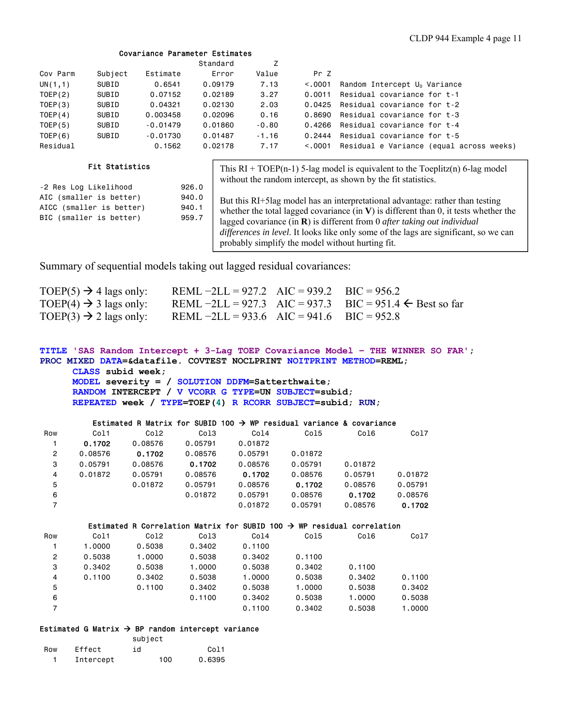## Covariance Parameter Estimates

|          |                          |            | Standard |         |          |                                                                                                                                                 |
|----------|--------------------------|------------|----------|---------|----------|-------------------------------------------------------------------------------------------------------------------------------------------------|
| Cov Parm | Subject                  | Estimate   | Error    | Value   | Pr Z     |                                                                                                                                                 |
| UN(1,1)  | SUBID                    | 0.6541     | 0.09179  | 7.13    | < 0.0001 | Random Intercept U <sub>0</sub> Variance                                                                                                        |
| TOEP(2)  | SUBID                    | 0.07152    | 0.02189  | 3.27    | 0.0011   | Residual covariance for t-1                                                                                                                     |
| TOEP(3)  | SUBID                    | 0.04321    | 0.02130  | 2.03    | 0.0425   | Residual covariance for t-2                                                                                                                     |
| TOEP(4)  | SUBID                    | 0.003458   | 0.02096  | 0.16    | 0.8690   | Residual covariance for t-3                                                                                                                     |
| TOEP(5)  | SUBID                    | $-0.01479$ | 0.01860  | $-0.80$ | 0.4266   | Residual covariance for t-4                                                                                                                     |
| TOEP(6)  | SUBID                    | $-0.01730$ | 0.01487  | $-1.16$ | 0.2444   | Residual covariance for t-5                                                                                                                     |
| Residual |                          | 0.1562     | 0.02178  | 7.17    | < 0.001  | Residual e Variance (equal across weeks)                                                                                                        |
|          | <b>Fit Statistics</b>    |            |          |         |          | This $RI + TOEP(n-1)$ 5-lag model is equivalent to the Toeplitz(n) 6-lag model<br>without the random intercept, as shown by the fit statistics. |
|          | -2 Res Log Likelihood    |            | 926.0    |         |          |                                                                                                                                                 |
|          | AIC (smaller is better)  |            | 940.0    |         |          | But this RI+5lag model has an interpretational advantage: rather than testing                                                                   |
|          | AICC (smaller is better) |            | 940.1    |         |          | whether the total lagged equationed (in $V$ ) is different than 0 it toots whether the                                                          |

But this RI+5lag model has an interpretational advantage: rather than testing whether the total lagged covariance (in **V**) is different than 0, it tests whether the lagged covariance (in **R**) is different from 0 *after taking out individual differences in level*. It looks like only some of the lags are significant, so we can probably simplify the model without hurting fit.

Summary of sequential models taking out lagged residual covariances:

BIC (smaller is better) 959.7

| TOEP(5) $\rightarrow$ 4 lags only:                                           | REML $-2LL = 927.2$ AIC = 939.2 BIC = 956.2 |                                                                      |
|------------------------------------------------------------------------------|---------------------------------------------|----------------------------------------------------------------------|
| TOEP(4) $\rightarrow$ 3 lags only:                                           |                                             | REML $-2LL = 927.3$ AIC = 937.3 BIC = 951.4 $\leftarrow$ Best so far |
| TOEP(3) $\rightarrow$ 2 lags only: REML -2LL = 933.6 AIC = 941.6 BIC = 952.8 |                                             |                                                                      |

```
TITLE 'SAS Random Intercept + 3-Lag TOEP Covariance Model – THE WINNER SO FAR'; 
PROC MIXED DATA=&datafile. COVTEST NOCLPRINT NOITPRINT METHOD=REML; 
      CLASS subid week;
```
**MODEL severity = / SOLUTION DDFM=Satterthwaite; RANDOM INTERCEPT / V VCORR G TYPE=UN SUBJECT=subid; REPEATED week / TYPE=TOEP(4) R RCORR SUBJECT=subid; RUN;** 

### Estimated R Matrix for SUBID 100  $\rightarrow$  WP residual variance & covariance

| Row            | Col1    | Co12    | Col <sub>3</sub>                                                                   | Co14    | Col5    | Col6    | Col7    |
|----------------|---------|---------|------------------------------------------------------------------------------------|---------|---------|---------|---------|
|                | 0.1702  | 0.08576 | 0.05791                                                                            | 0.01872 |         |         |         |
| $\overline{2}$ | 0.08576 | 0.1702  | 0.08576                                                                            | 0.05791 | 0.01872 |         |         |
| 3              | 0.05791 | 0.08576 | 0.1702                                                                             | 0.08576 | 0.05791 | 0.01872 |         |
| 4              | 0.01872 | 0.05791 | 0.08576                                                                            | 0.1702  | 0.08576 | 0.05791 | 0.01872 |
| 5              |         | 0.01872 | 0.05791                                                                            | 0.08576 | 0.1702  | 0.08576 | 0.05791 |
| 6              |         |         | 0.01872                                                                            | 0.05791 | 0.08576 | 0.1702  | 0.08576 |
| $\overline{7}$ |         |         |                                                                                    | 0.01872 | 0.05791 | 0.08576 | 0.1702  |
|                |         |         |                                                                                    |         |         |         |         |
|                |         |         |                                                                                    |         |         |         |         |
|                |         |         | Estimated R Correlation Matrix for SUBID 100 $\rightarrow$ WP residual correlation |         |         |         |         |
| Row            | Col1    | Col2    | Col <sub>3</sub>                                                                   | Co14    | Col5    | Col6    | Col7    |
|                | 1,0000  | 0.5038  | 0.3402                                                                             | 0.1100  |         |         |         |
| $\overline{c}$ | 0.5038  | 1,0000  | 0.5038                                                                             | 0.3402  | 0.1100  |         |         |
| 3              | 0.3402  | 0.5038  | 1.0000                                                                             | 0.5038  | 0.3402  | 0.1100  |         |
| 4              | 0.1100  | 0.3402  | 0.5038                                                                             | 1,0000  | 0.5038  | 0.3402  | 0.1100  |
| 5              |         | 0.1100  | 0.3402                                                                             | 0.5038  | 1.0000  | 0.5038  | 0.3402  |
| 6              |         |         | 0.1100                                                                             | 0.3402  | 0.5038  | 1,0000  | 0.5038  |

#### Estimated G Matrix  $\rightarrow$  BP random intercept variance

|     |           | subject |                   |
|-----|-----------|---------|-------------------|
| Row | Effect    | id      | C <sub>0</sub> 11 |
|     | Intercept | 100     | 0.6395            |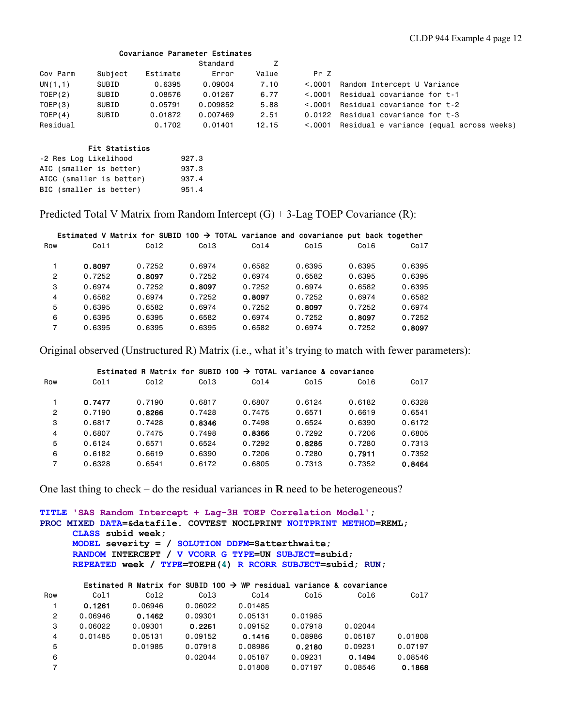# Covariance Parameter Estimates

|          |         |          | Standard |       |         |                                          |
|----------|---------|----------|----------|-------|---------|------------------------------------------|
| Cov Parm | Subject | Estimate | Error    | Value | Pr Z    |                                          |
| UN(1,1)  | SUBID   | 0.6395   | 0.09004  | 7.10  | < 0.001 | Random Intercept U Variance              |
| TOEP(2)  | SUBID   | 0.08576  | 0.01267  | 6.77  | < 0.001 | Residual covariance for t-1              |
| TOEP(3)  | SUBID   | 0.05791  | 0.009852 | 5.88  | < 0.001 | Residual covariance for t-2              |
| TOEP(4)  | SUBID   | 0.01872  | 0.007469 | 2.51  | 0.0122  | Residual covariance for t-3              |
| Residual |         | 0.1702   | 0.01401  | 12.15 | < 0.001 | Residual e variance (equal across weeks) |
|          |         |          |          |       |         |                                          |

# Fit Statistics

| -2 Res Log Likelihood    | 927.3 |
|--------------------------|-------|
| AIC (smaller is better)  | 937.3 |
| AICC (smaller is better) | 937.4 |
| BIC (smaller is better)  | 951.4 |

Predicted Total V Matrix from Random Intercept  $(G) + 3$ -Lag TOEP Covariance  $(R)$ :

|     |        | Estimated V Matrix for SUBID 100 $\rightarrow$ TOTAL variance and covariance put back together |                  |        |        |        |        |
|-----|--------|------------------------------------------------------------------------------------------------|------------------|--------|--------|--------|--------|
| Row | Co11   | Co12                                                                                           | Col <sub>3</sub> | Co14   | Co15   | Co16   | Co17   |
|     | 0.8097 | 0.7252                                                                                         | 0.6974           | 0.6582 | 0.6395 | 0.6395 | 0.6395 |
| 2   | 0.7252 | 0.8097                                                                                         | 0.7252           | 0.6974 | 0.6582 | 0.6395 | 0.6395 |
| 3   | 0.6974 | 0.7252                                                                                         | 0.8097           | 0.7252 | 0.6974 | 0.6582 | 0.6395 |
| 4   | 0.6582 | 0.6974                                                                                         | 0.7252           | 0.8097 | 0.7252 | 0.6974 | 0.6582 |
| 5   | 0.6395 | 0.6582                                                                                         | 0.6974           | 0.7252 | 0.8097 | 0.7252 | 0.6974 |
| 6   | 0.6395 | 0.6395                                                                                         | 0.6582           | 0.6974 | 0.7252 | 0.8097 | 0.7252 |
| 7   | 0.6395 | 0.6395                                                                                         | 0.6395           | 0.6582 | 0.6974 | 0.7252 | 0.8097 |

Original observed (Unstructured R) Matrix (i.e., what it's trying to match with fewer parameters):

|                |        | Estimated R Matrix for SUBID 100 $\rightarrow$ TOTAL variance & covariance |                  |        |        |        |        |
|----------------|--------|----------------------------------------------------------------------------|------------------|--------|--------|--------|--------|
| Row            | Col1   | Co12                                                                       | Col <sub>3</sub> | Co14   | Col5   | Col6   | Col7   |
|                | 0.7477 | 0.7190                                                                     | 0.6817           | 0.6807 | 0.6124 | 0.6182 | 0.6328 |
| $\overline{2}$ | 0.7190 | 0.8266                                                                     | 0.7428           | 0.7475 | 0.6571 | 0.6619 | 0.6541 |
| 3              | 0.6817 | 0.7428                                                                     | 0.8346           | 0.7498 | 0.6524 | 0.6390 | 0.6172 |
| 4              | 0.6807 | 0.7475                                                                     | 0.7498           | 0.8366 | 0.7292 | 0.7206 | 0.6805 |
| 5              | 0.6124 | 0.6571                                                                     | 0.6524           | 0.7292 | 0.8285 | 0.7280 | 0.7313 |
| 6              | 0.6182 | 0.6619                                                                     | 0.6390           | 0.7206 | 0.7280 | 0.7911 | 0.7352 |
| 7              | 0.6328 | 0.6541                                                                     | 0.6172           | 0.6805 | 0.7313 | 0.7352 | 0.8464 |

One last thing to check – do the residual variances in **R** need to be heterogeneous?

**TITLE 'SAS Random Intercept + Lag-3H TOEP Correlation Model'; PROC MIXED DATA=&datafile. COVTEST NOCLPRINT NOITPRINT METHOD=REML; CLASS subid week; MODEL severity = / SOLUTION DDFM=Satterthwaite; RANDOM INTERCEPT / V VCORR G TYPE=UN SUBJECT=subid; REPEATED week / TYPE=TOEPH(4) R RCORR SUBJECT=subid; RUN;** 

# Estimated R Matrix for SUBID 100  $\rightarrow$  WP residual variance & covariance Row Col1 Col2 Col3 Col4 Col5 Col6 Col7  $\begin{array}{cccccccc} 1 & \textbf{0.1261} & 0.06946 & 0.06022 & 0.01485 \\ 2 & 0.06946 & \textbf{0.1462} & 0.09301 & 0.05131 \\ 3 & 0.06022 & 0.09301 & \textbf{0.2261} & 0.09152 \end{array}$  2 0.06946 0.1462 0.09301 0.05131 0.01985 3 0.06022 0.09301 0.2261 0.09152 0.07918 0.02044 4 0.01485 0.05131 0.09152 0.1416 0.08986 0.05187 0.01808

 5 0.01985 0.07918 0.08986 0.2180 0.09231 0.07197 6 0.02044 0.05187 0.09231 0.1494 0.08546 7 0.01808 0.07197 0.08546 0.1868